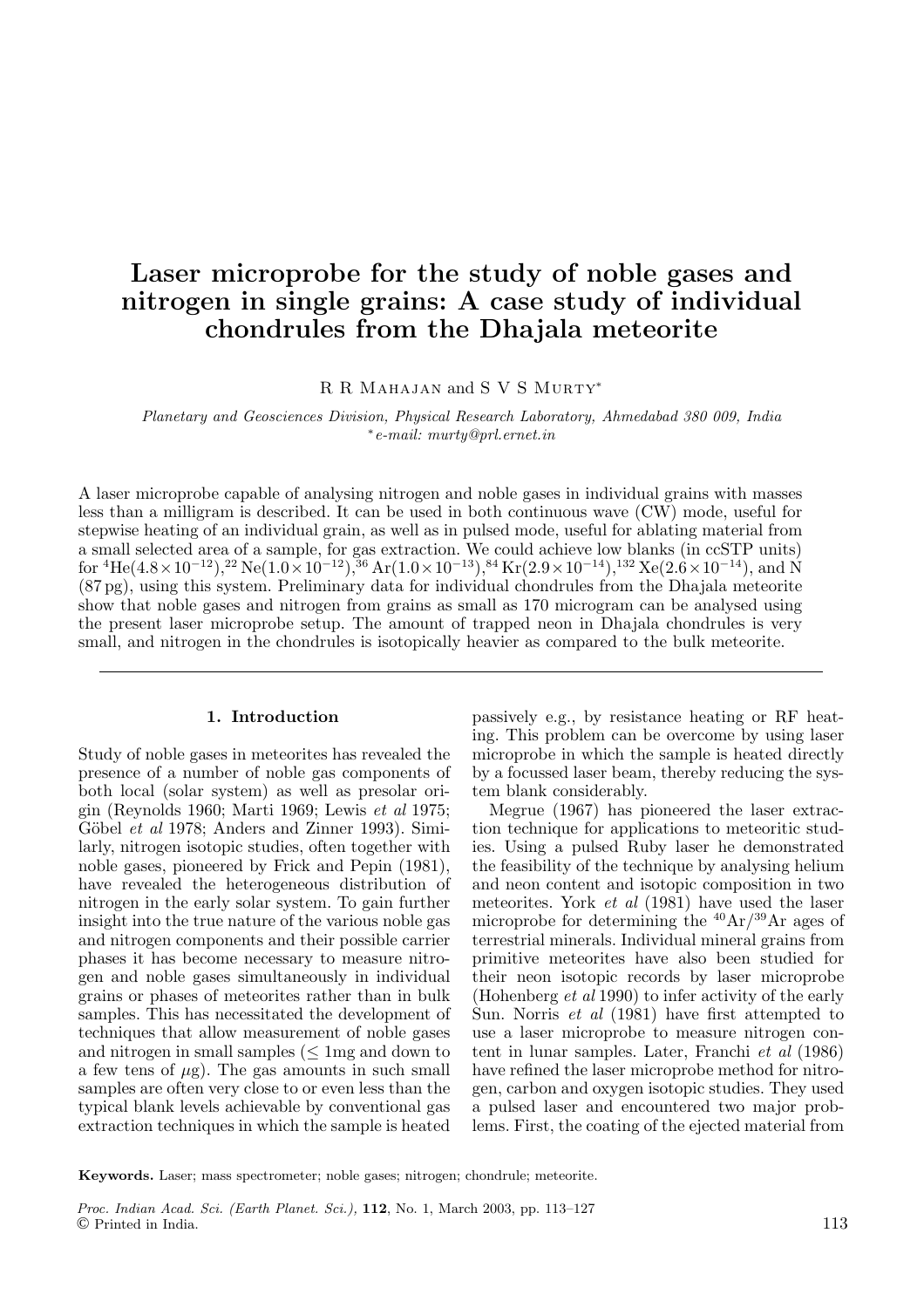# **Laser microprobe for the study of noble gases and nitrogen in single grains: A case study of individual chondrules from the Dhajala meteorite**

R R MAHAJAN and S V S MURTY<sup>\*</sup>

Planetary and Geosciences Division, Physical Research Laboratory, Ahmedabad 380 009, India <sup>∗</sup>e-mail: murty@prl.ernet.in

A laser microprobe capable of analysing nitrogen and noble gases in individual grains with masses less than a milligram is described. It can be used in both continuous wave (CW) mode, useful for stepwise heating of an individual grain, as well as in pulsed mode, useful for ablating material from a small selected area of a sample, for gas extraction. We could achieve low blanks (in ccSTP units)  $f_{\rm OFT}$ <sup>4</sup>He( $4.8\times10^{-12}$ ),<sup>22</sup> Ne( $1.0\times10^{-12}$ ),<sup>36</sup> Ar( $1.0\times10^{-13}$ ),<sup>84</sup> Kr( $2.9\times10^{-14}$ ),<sup>132</sup> Xe( $2.6\times10^{-14}$ ), and N (87 pg), using this system. Preliminary data for individual chondrules from the Dhajala meteorite show that noble gases and nitrogen from grains as small as 170 microgram can be analysed using the present laser microprobe setup. The amount of trapped neon in Dhajala chondrules is very small, and nitrogen in the chondrules is isotopically heavier as compared to the bulk meteorite.

#### **1. Introduction**

Study of noble gases in meteorites has revealed the presence of a number of noble gas components of both local (solar system) as well as presolar origin (Reynolds 1960; Marti 1969; Lewis et al 1975; Göbel *et al* 1978; Anders and Zinner 1993). Similarly, nitrogen isotopic studies, often together with noble gases, pioneered by Frick and Pepin (1981), have revealed the heterogeneous distribution of nitrogen in the early solar system. To gain further insight into the true nature of the various noble gas and nitrogen components and their possible carrier phases it has become necessary to measure nitrogen and noble gases simultaneously in individual grains or phases of meteorites rather than in bulk samples. This has necessitated the development of techniques that allow measurement of noble gases and nitrogen in small samples (≤ 1mg and down to a few tens of  $\mu$ g). The gas amounts in such small samples are often very close to or even less than the typical blank levels achievable by conventional gas extraction techniques in which the sample is heated

passively e.g., by resistance heating or RF heating. This problem can be overcome by using laser microprobe in which the sample is heated directly by a focussed laser beam, thereby reducing the system blank considerably.

Megrue (1967) has pioneered the laser extraction technique for applications to meteoritic studies. Using a pulsed Ruby laser he demonstrated the feasibility of the technique by analysing helium and neon content and isotopic composition in two meteorites. York et al (1981) have used the laser microprobe for determining the  $40Ar/39Ar$  ages of terrestrial minerals. Individual mineral grains from primitive meteorites have also been studied for their neon isotopic records by laser microprobe (Hohenberg et al 1990) to infer activity of the early Sun. Norris et al (1981) have first attempted to use a laser microprobe to measure nitrogen content in lunar samples. Later, Franchi et al (1986) have refined the laser microprobe method for nitrogen, carbon and oxygen isotopic studies. They used a pulsed laser and encountered two major problems. First, the coating of the ejected material from

**Keywords.** Laser; mass spectrometer; noble gases; nitrogen; chondrule; meteorite.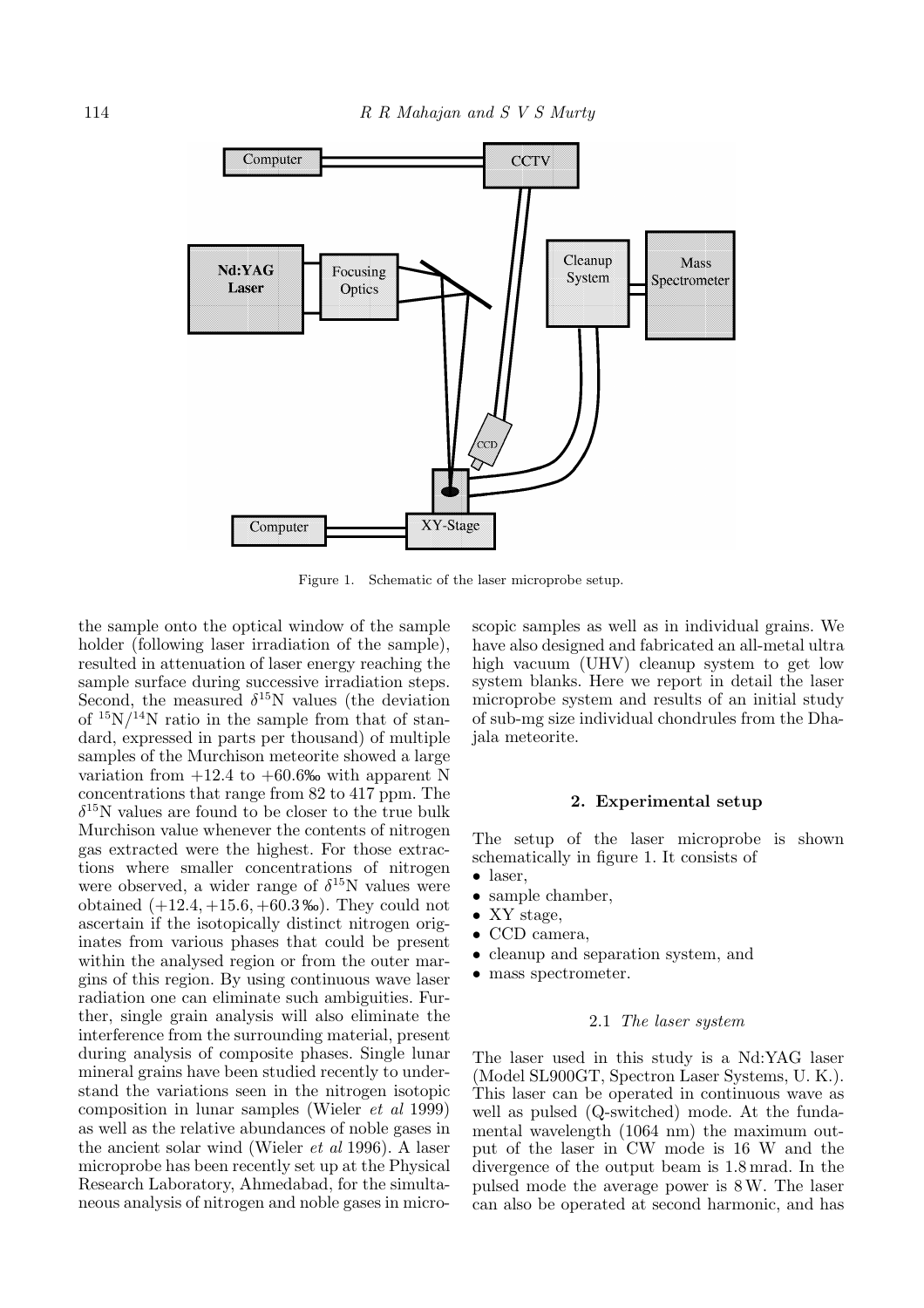

Figure 1. Schematic of the laser microprobe setup.

the sample onto the optical window of the sample holder (following laser irradiation of the sample), resulted in attenuation of laser energy reaching the sample surface during successive irradiation steps. Second, the measured  $\delta^{15}N$  values (the deviation of  $15N/14N$  ratio in the sample from that of standard, expressed in parts per thousand) of multiple samples of the Murchison meteorite showed a large variation from  $+12.4$  to  $+60.6%$  with apparent N concentrations that range from 82 to 417 ppm. The  $\delta^{15}$ N values are found to be closer to the true bulk Murchison value whenever the contents of nitrogen gas extracted were the highest. For those extractions where smaller concentrations of nitrogen were observed, a wider range of  $\delta^{15}N$  values were obtained  $(+12.4, +15.6, +60.3\%)$ . They could not ascertain if the isotopically distinct nitrogen originates from various phases that could be present within the analysed region or from the outer margins of this region. By using continuous wave laser radiation one can eliminate such ambiguities. Further, single grain analysis will also eliminate the interference from the surrounding material, present during analysis of composite phases. Single lunar mineral grains have been studied recently to understand the variations seen in the nitrogen isotopic composition in lunar samples (Wieler et al 1999) as well as the relative abundances of noble gases in the ancient solar wind (Wieler et al 1996). A laser microprobe has been recently set up at the Physical Research Laboratory, Ahmedabad, for the simultaneous analysis of nitrogen and noble gases in microscopic samples as well as in individual grains. We have also designed and fabricated an all-metal ultra high vacuum (UHV) cleanup system to get low system blanks. Here we report in detail the laser microprobe system and results of an initial study of sub-mg size individual chondrules from the Dhajala meteorite.

#### **2. Experimental setup**

The setup of the laser microprobe is shown schematically in figure 1. It consists of

- laser,
- sample chamber,
- XY stage.
- CCD camera,
- cleanup and separation system, and
- mass spectrometer.

#### 2.1 The laser system

The laser used in this study is a Nd:YAG laser (Model SL900GT, Spectron Laser Systems, U. K.). This laser can be operated in continuous wave as well as pulsed (Q-switched) mode. At the fundamental wavelength (1064 nm) the maximum output of the laser in CW mode is 16 W and the divergence of the output beam is 1.8 mrad. In the pulsed mode the average power is 8W. The laser can also be operated at second harmonic, and has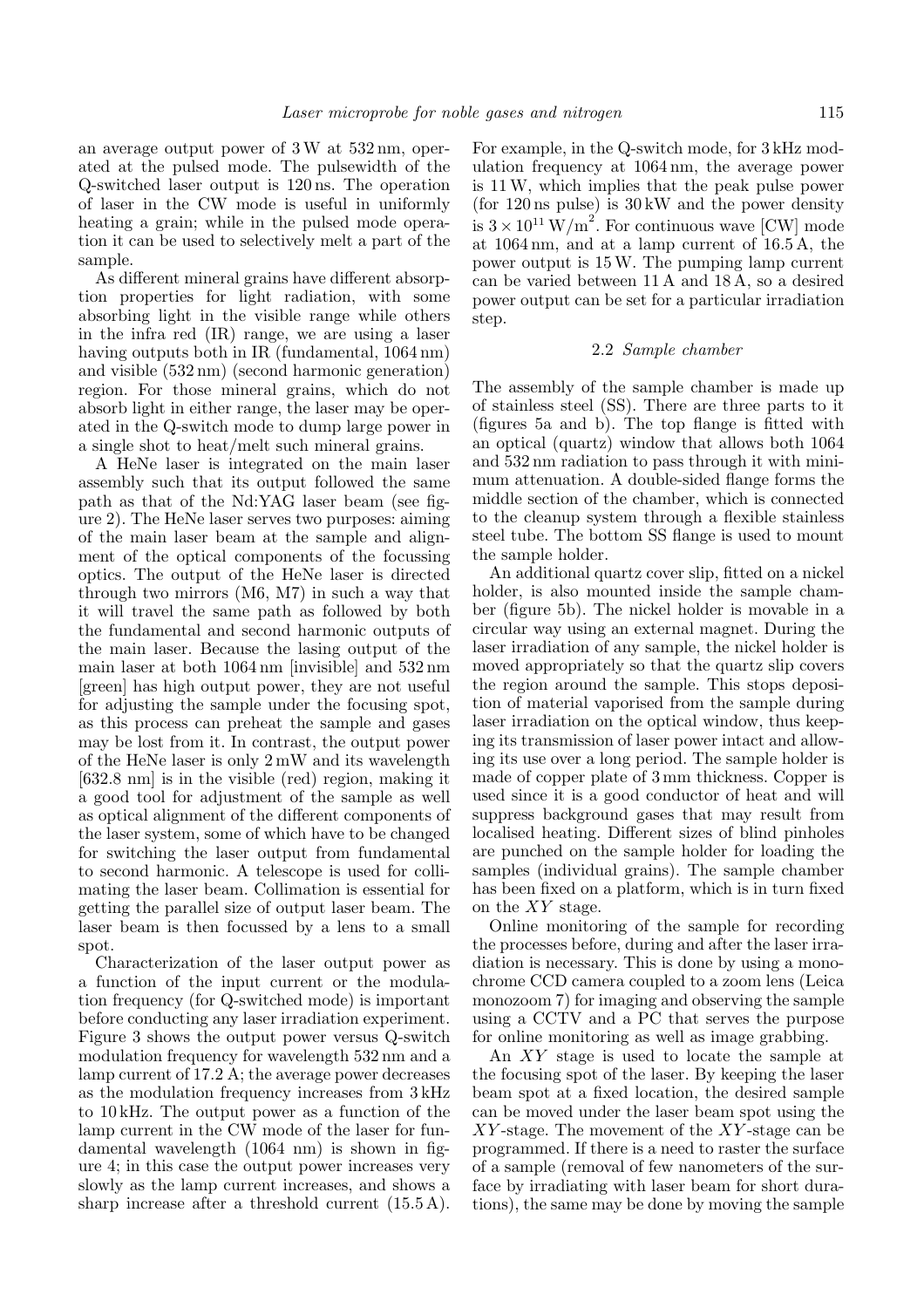an average output power of 3W at 532 nm, operated at the pulsed mode. The pulsewidth of the Q-switched laser output is 120 ns. The operation of laser in the CW mode is useful in uniformly heating a grain; while in the pulsed mode operation it can be used to selectively melt a part of the sample.

As different mineral grains have different absorption properties for light radiation, with some absorbing light in the visible range while others in the infra red (IR) range, we are using a laser having outputs both in IR (fundamental,  $1064 \text{ nm}$ ) and visible (532 nm) (second harmonic generation) region. For those mineral grains, which do not absorb light in either range, the laser may be operated in the Q-switch mode to dump large power in a single shot to heat/melt such mineral grains.

A HeNe laser is integrated on the main laser assembly such that its output followed the same path as that of the Nd:YAG laser beam (see figure 2). The HeNe laser serves two purposes: aiming of the main laser beam at the sample and alignment of the optical components of the focussing optics. The output of the HeNe laser is directed through two mirrors (M6, M7) in such a way that it will travel the same path as followed by both the fundamental and second harmonic outputs of the main laser. Because the lasing output of the main laser at both 1064 nm [invisible] and 532 nm [green] has high output power, they are not useful for adjusting the sample under the focusing spot, as this process can preheat the sample and gases may be lost from it. In contrast, the output power of the HeNe laser is only 2 mW and its wavelength [632.8 nm] is in the visible (red) region, making it a good tool for adjustment of the sample as well as optical alignment of the different components of the laser system, some of which have to be changed for switching the laser output from fundamental to second harmonic. A telescope is used for collimating the laser beam. Collimation is essential for getting the parallel size of output laser beam. The laser beam is then focussed by a lens to a small spot.

Characterization of the laser output power as a function of the input current or the modulation frequency (for Q-switched mode) is important before conducting any laser irradiation experiment. Figure 3 shows the output power versus Q-switch modulation frequency for wavelength 532 nm and a lamp current of 17.2 A; the average power decreases as the modulation frequency increases from 3 kHz to 10 kHz. The output power as a function of the lamp current in the CW mode of the laser for fundamental wavelength (1064 nm) is shown in figure 4; in this case the output power increases very slowly as the lamp current increases, and shows a sharp increase after a threshold current (15.5 A). For example, in the Q-switch mode, for 3 kHz modulation frequency at 1064 nm, the average power is 11W, which implies that the peak pulse power (for 120 ns pulse) is 30 kW and the power density is  $3 \times 10^{11}$  W/m<sup>2</sup>. For continuous wave [CW] mode at 1064 nm, and at a lamp current of 16.5 A, the power output is 15W. The pumping lamp current can be varied between 11 A and 18 A, so a desired power output can be set for a particular irradiation step.

## 2.2 Sample chamber

The assembly of the sample chamber is made up of stainless steel (SS). There are three parts to it (figures 5a and b). The top flange is fitted with an optical (quartz) window that allows both 1064 and 532 nm radiation to pass through it with minimum attenuation. A double-sided flange forms the middle section of the chamber, which is connected to the cleanup system through a flexible stainless steel tube. The bottom SS flange is used to mount the sample holder.

An additional quartz cover slip, fitted on a nickel holder, is also mounted inside the sample chamber (figure 5b). The nickel holder is movable in a circular way using an external magnet. During the laser irradiation of any sample, the nickel holder is moved appropriately so that the quartz slip covers the region around the sample. This stops deposition of material vaporised from the sample during laser irradiation on the optical window, thus keeping its transmission of laser power intact and allowing its use over a long period. The sample holder is made of copper plate of 3 mm thickness. Copper is used since it is a good conductor of heat and will suppress background gases that may result from localised heating. Different sizes of blind pinholes are punched on the sample holder for loading the samples (individual grains). The sample chamber has been fixed on a platform, which is in turn fixed on the XY stage.

Online monitoring of the sample for recording the processes before, during and after the laser irradiation is necessary. This is done by using a monochrome CCD camera coupled to a zoom lens (Leica monozoom 7) for imaging and observing the sample using a CCTV and a PC that serves the purpose for online monitoring as well as image grabbing.

An XY stage is used to locate the sample at the focusing spot of the laser. By keeping the laser beam spot at a fixed location, the desired sample can be moved under the laser beam spot using the  $XY$ -stage. The movement of the  $XY$ -stage can be programmed. If there is a need to raster the surface of a sample (removal of few nanometers of the surface by irradiating with laser beam for short durations), the same may be done by moving the sample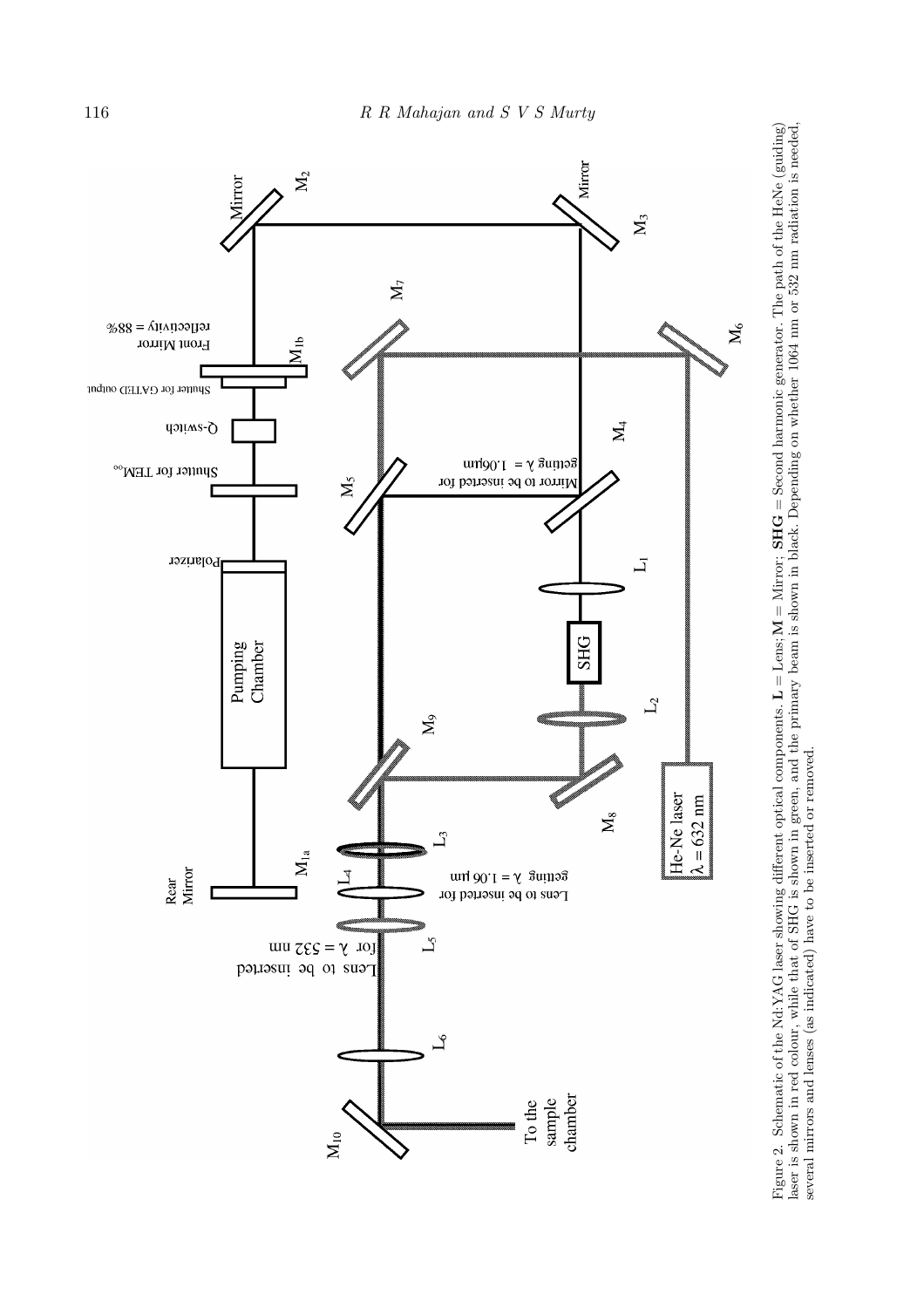

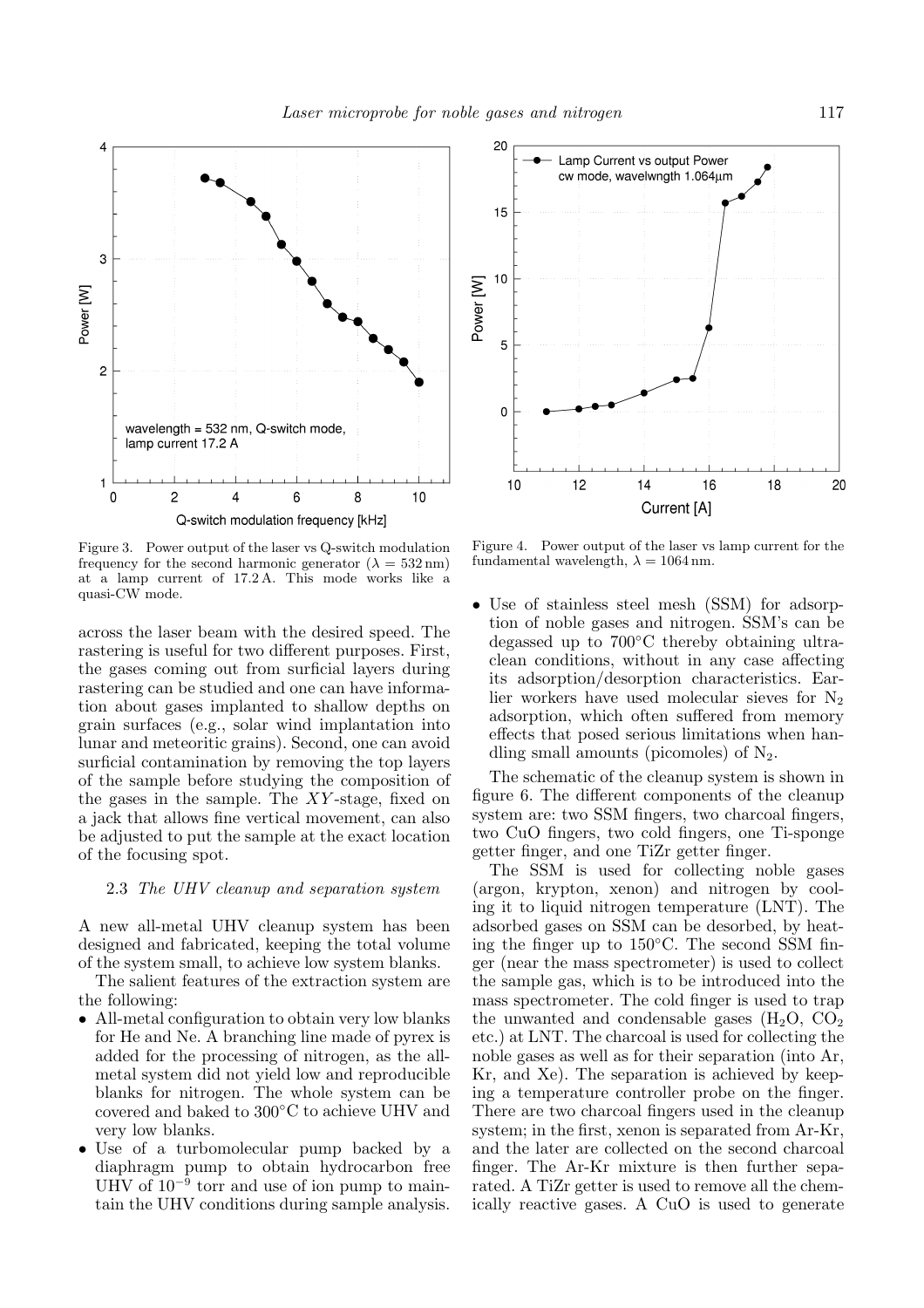

Figure 3. Power output of the laser vs Q-switch modulation frequency for the second harmonic generator ( $\lambda = 532 \text{ nm}$ ) at a lamp current of 17.2 A. This mode works like a quasi-CW mode.

across the laser beam with the desired speed. The rastering is useful for two different purposes. First, the gases coming out from surficial layers during rastering can be studied and one can have information about gases implanted to shallow depths on grain surfaces (e.g., solar wind implantation into lunar and meteoritic grains). Second, one can avoid surficial contamination by removing the top layers of the sample before studying the composition of the gases in the sample. The  $XY$ -stage, fixed on a jack that allows fine vertical movement, can also be adjusted to put the sample at the exact location of the focusing spot.

#### 2.3 The UHV cleanup and separation system

A new all-metal UHV cleanup system has been designed and fabricated, keeping the total volume of the system small, to achieve low system blanks.

The salient features of the extraction system are the following:

- All-metal configuration to obtain very low blanks for He and Ne. A branching line made of pyrex is added for the processing of nitrogen, as the allmetal system did not yield low and reproducible blanks for nitrogen. The whole system can be covered and baked to 300◦C to achieve UHV and very low blanks.
- Use of a turbomolecular pump backed by a diaphragm pump to obtain hydrocarbon free UHV of  $10^{-9}$  torr and use of ion pump to maintain the UHV conditions during sample analysis.



Figure 4. Power output of the laser vs lamp current for the fundamental wavelength,  $\lambda = 1064$  nm.

• Use of stainless steel mesh (SSM) for adsorption of noble gases and nitrogen. SSM's can be degassed up to 700◦C thereby obtaining ultraclean conditions, without in any case affecting its adsorption/desorption characteristics. Earlier workers have used molecular sieves for  $N_2$ adsorption, which often suffered from memory effects that posed serious limitations when handling small amounts (picomoles) of  $N_2$ .

The schematic of the cleanup system is shown in figure 6. The different components of the cleanup system are: two SSM fingers, two charcoal fingers, two CuO fingers, two cold fingers, one Ti-sponge getter finger, and one TiZr getter finger.

The SSM is used for collecting noble gases (argon, krypton, xenon) and nitrogen by cooling it to liquid nitrogen temperature (LNT). The adsorbed gases on SSM can be desorbed, by heating the finger up to  $150^{\circ}$ C. The second SSM finger (near the mass spectrometer) is used to collect the sample gas, which is to be introduced into the mass spectrometer. The cold finger is used to trap the unwanted and condensable gases  $(H_2O, CO_2)$ etc.) at LNT. The charcoal is used for collecting the noble gases as well as for their separation (into Ar, Kr, and Xe). The separation is achieved by keeping a temperature controller probe on the finger. There are two charcoal fingers used in the cleanup system; in the first, xenon is separated from Ar-Kr, and the later are collected on the second charcoal finger. The Ar-Kr mixture is then further separated. A TiZr getter is used to remove all the chemically reactive gases. A CuO is used to generate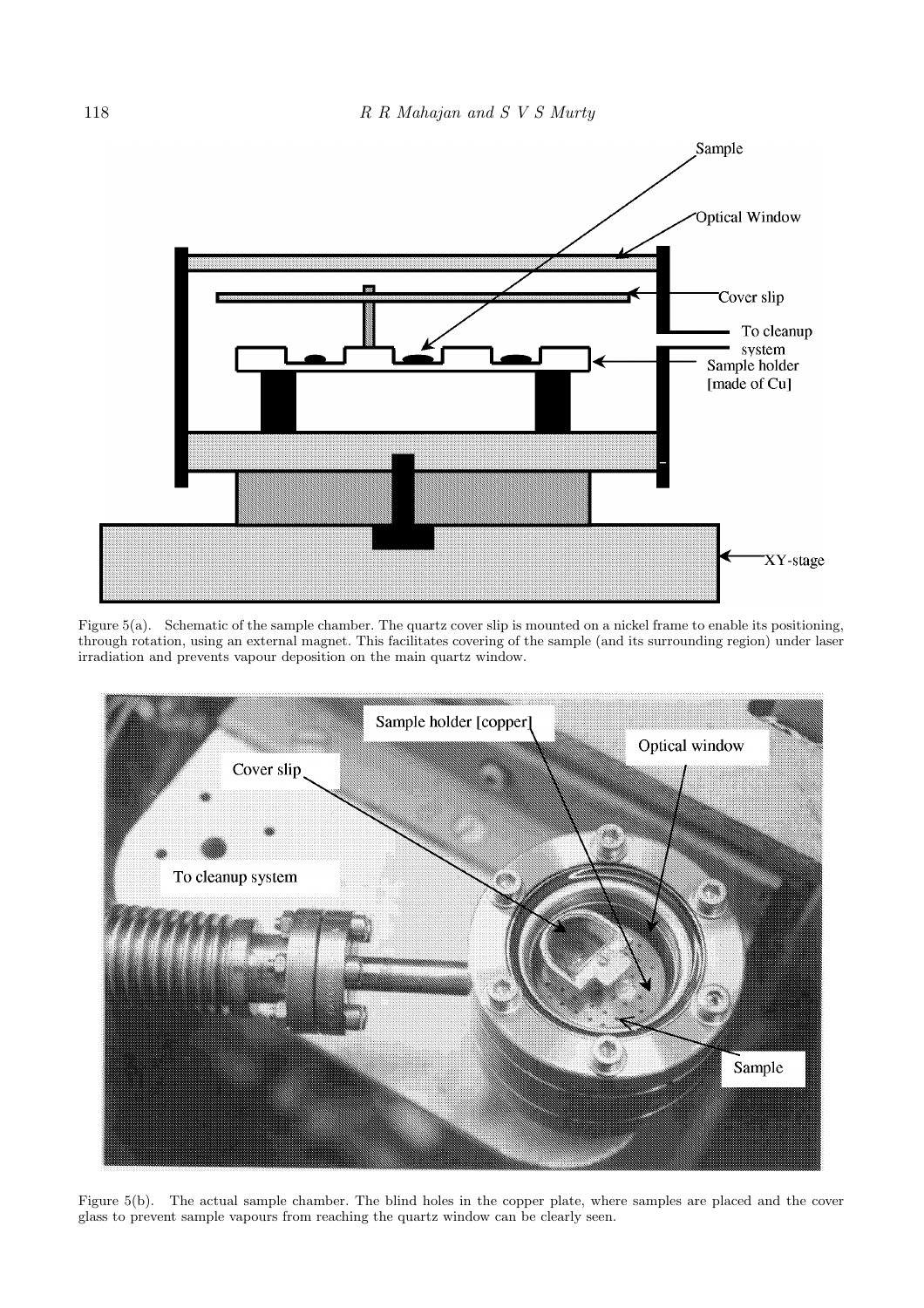

Figure 5(a). Schematic of the sample chamber. The quartz cover slip is mounted on a nickel frame to enable its positioning, through rotation, using an external magnet. This facilitates covering of the sample (and its surrounding region) under laser irradiation and prevents vapour deposition on the main quartz window.



Figure 5(b). The actual sample chamber. The blind holes in the copper plate, where samples are placed and the cover glass to prevent sample vapours from reaching the quartz window can be clearly seen.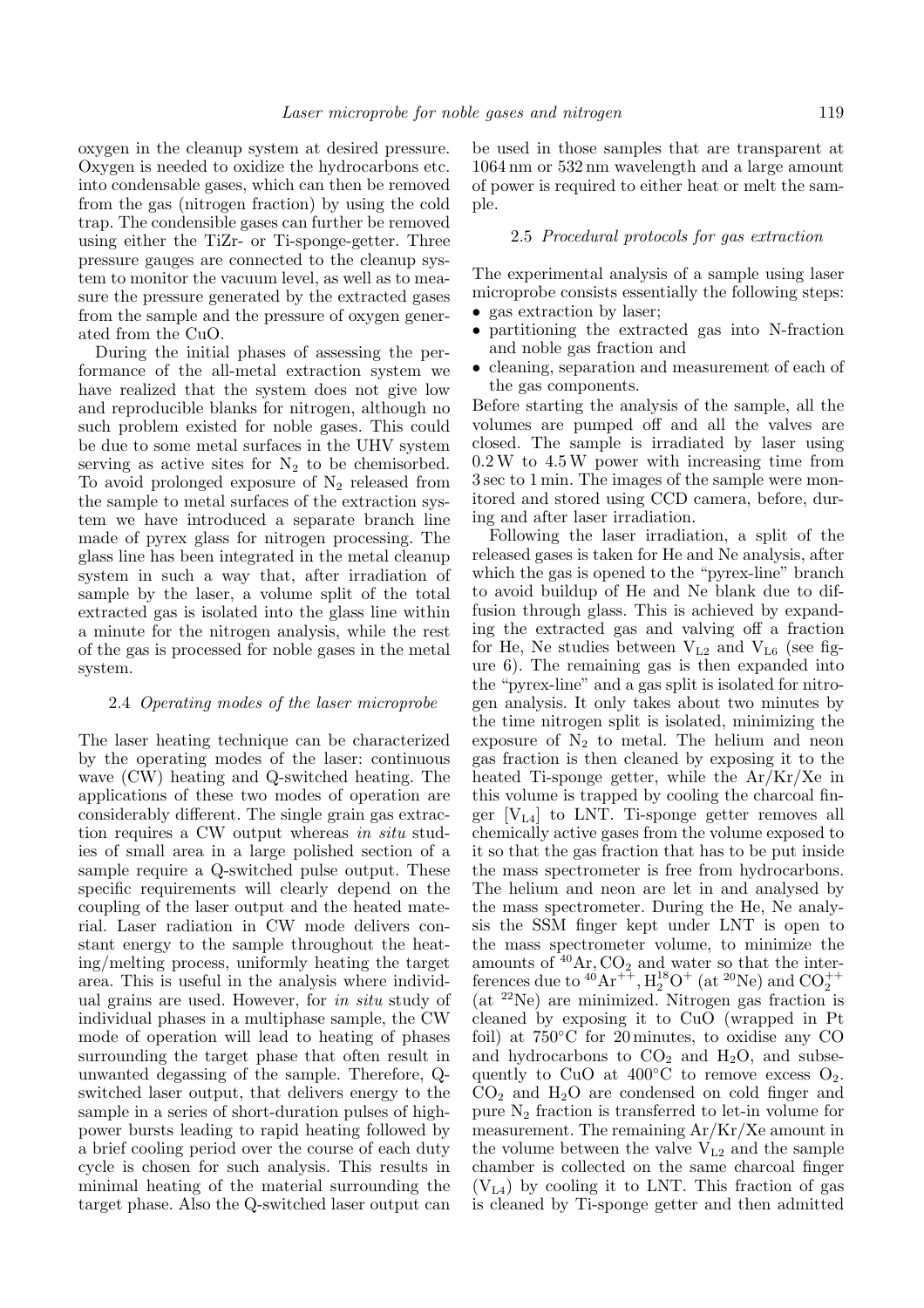oxygen in the cleanup system at desired pressure. Oxygen is needed to oxidize the hydrocarbons etc. into condensable gases, which can then be removed from the gas (nitrogen fraction) by using the cold trap. The condensible gases can further be removed using either the TiZr- or Ti-sponge-getter. Three pressure gauges are connected to the cleanup system to monitor the vacuum level, as well as to measure the pressure generated by the extracted gases from the sample and the pressure of oxygen generated from the CuO.

During the initial phases of assessing the performance of the all-metal extraction system we have realized that the system does not give low and reproducible blanks for nitrogen, although no such problem existed for noble gases. This could be due to some metal surfaces in the UHV system serving as active sites for  $N_2$  to be chemisorbed. To avoid prolonged exposure of  $N_2$  released from the sample to metal surfaces of the extraction system we have introduced a separate branch line made of pyrex glass for nitrogen processing. The glass line has been integrated in the metal cleanup system in such a way that, after irradiation of sample by the laser, a volume split of the total extracted gas is isolated into the glass line within a minute for the nitrogen analysis, while the rest of the gas is processed for noble gases in the metal system.

# 2.4 Operating modes of the laser microprobe

The laser heating technique can be characterized by the operating modes of the laser: continuous wave (CW) heating and Q-switched heating. The applications of these two modes of operation are considerably different. The single grain gas extraction requires a CW output whereas in situ studies of small area in a large polished section of a sample require a Q-switched pulse output. These specific requirements will clearly depend on the coupling of the laser output and the heated material. Laser radiation in CW mode delivers constant energy to the sample throughout the heating/melting process, uniformly heating the target area. This is useful in the analysis where individual grains are used. However, for in situ study of individual phases in a multiphase sample, the CW mode of operation will lead to heating of phases surrounding the target phase that often result in unwanted degassing of the sample. Therefore, Qswitched laser output, that delivers energy to the sample in a series of short-duration pulses of highpower bursts leading to rapid heating followed by a brief cooling period over the course of each duty cycle is chosen for such analysis. This results in minimal heating of the material surrounding the target phase. Also the Q-switched laser output can be used in those samples that are transparent at 1064 nm or 532 nm wavelength and a large amount of power is required to either heat or melt the sample.

## 2.5 Procedural protocols for gas extraction

The experimental analysis of a sample using laser microprobe consists essentially the following steps:

- gas extraction by laser;
- partitioning the extracted gas into N-fraction and noble gas fraction and
- cleaning, separation and measurement of each of the gas components.

Before starting the analysis of the sample, all the volumes are pumped off and all the valves are closed. The sample is irradiated by laser using 0.2W to 4.5W power with increasing time from 3 sec to 1 min. The images of the sample were monitored and stored using CCD camera, before, during and after laser irradiation.

Following the laser irradiation, a split of the released gases is taken for He and Ne analysis, after which the gas is opened to the "pyrex-line" branch to avoid buildup of He and Ne blank due to diffusion through glass. This is achieved by expanding the extracted gas and valving off a fraction for He, Ne studies between  $V_{L2}$  and  $V_{L6}$  (see figure 6). The remaining gas is then expanded into the "pyrex-line" and a gas split is isolated for nitrogen analysis. It only takes about two minutes by the time nitrogen split is isolated, minimizing the exposure of  $N_2$  to metal. The helium and neon gas fraction is then cleaned by exposing it to the heated Ti-sponge getter, while the Ar/Kr/Xe in this volume is trapped by cooling the charcoal finger  $[V_{L4}]$  to LNT. Ti-sponge getter removes all chemically active gases from the volume exposed to it so that the gas fraction that has to be put inside the mass spectrometer is free from hydrocarbons. The helium and neon are let in and analysed by the mass spectrometer. During the He, Ne analysis the SSM finger kept under LNT is open to the mass spectrometer volume, to minimize the amounts of  ${}^{40}\text{Ar}, \text{CO}_2$  and water so that the interferences due to  $^{40}\text{Ar}^{++}$ ,  $\text{H}_2^{18}\text{O}^+$  (at  $^{20}\text{Ne}$ ) and  $\text{CO}_2^{++}$ (at  $2^2$ Ne) are minimized. Nitrogen gas fraction is cleaned by exposing it to CuO (wrapped in Pt foil) at 750◦C for 20 minutes, to oxidise any CO and hydrocarbons to  $CO<sub>2</sub>$  and  $H<sub>2</sub>O$ , and subsequently to CuO at  $400°C$  to remove excess O<sub>2</sub>.  $CO<sub>2</sub>$  and  $H<sub>2</sub>O$  are condensed on cold finger and pure  $N_2$  fraction is transferred to let-in volume for measurement. The remaining Ar/Kr/Xe amount in the volume between the valve  $V_{L2}$  and the sample chamber is collected on the same charcoal finger  $(V_{L4})$  by cooling it to LNT. This fraction of gas is cleaned by Ti-sponge getter and then admitted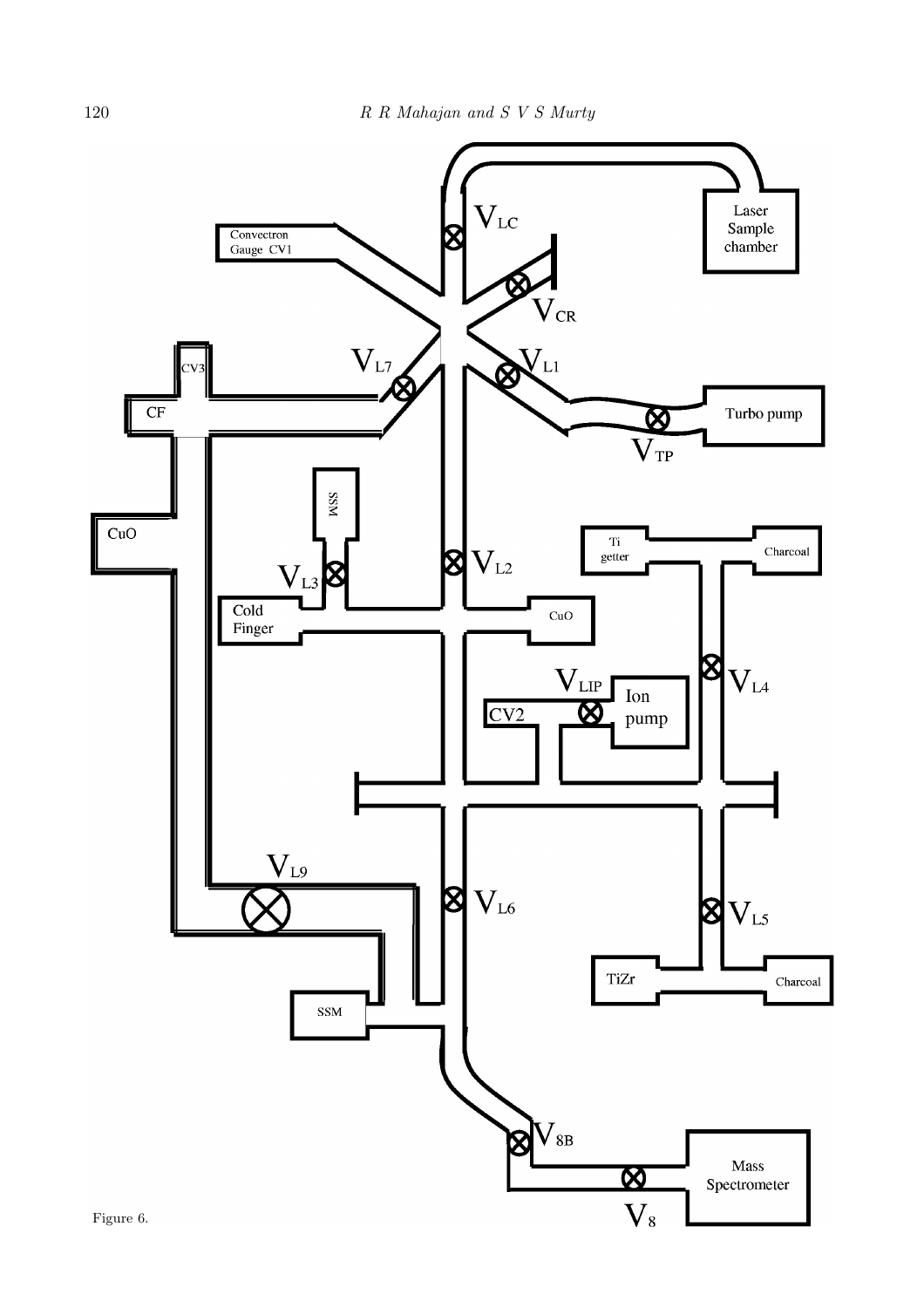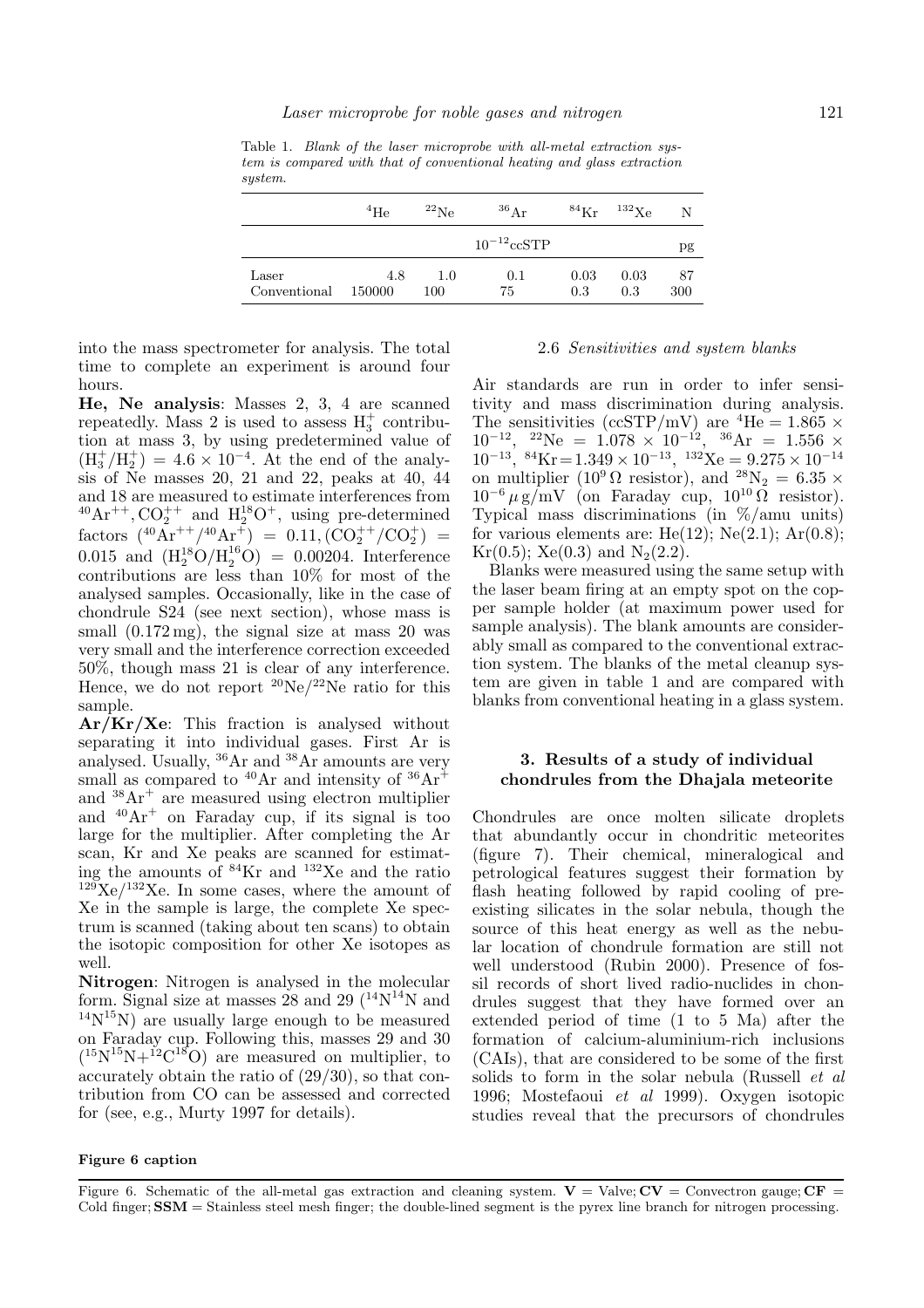|                       | $^{4}$ He     | $36\,\mathrm{Ar}$<br>$^{22}$ Ne |                  |             | ${}^{84}\text{Kr}$ ${}^{132}\text{Xe}$ | N          |
|-----------------------|---------------|---------------------------------|------------------|-------------|----------------------------------------|------------|
|                       |               |                                 | $10^{-12}$ ccSTP |             |                                        | pg         |
| Laser<br>Conventional | 4.8<br>150000 | 1.0<br>100                      | 0.1<br>75        | 0.03<br>0.3 | 0.03<br>0.3                            | -87<br>300 |

Table 1. Blank of the laser microprobe with all-metal extraction system is compared with that of conventional heating and glass extraction system.

into the mass spectrometer for analysis. The total time to complete an experiment is around four hours.

**He, Ne analysis**: Masses 2, 3, 4 are scanned repeatedly. Mass 2 is used to assess  $H_3^+$  contribution at mass 3, by using predetermined value of  $(H_3^+/H_2^+) = 4.6 \times 10^{-4}$ . At the end of the analysis of Ne masses 20, 21 and 22, peaks at 40, 44 and 18 are measured to estimate interferences from  $^{40}\text{Ar}^{++}$ ,  $\text{CO}_2^{++}$  and  $\text{H}_2^{18}\text{O}^+$ , using pre-determined factors  $(^{40}\text{Ar}^{++}/^{40}\text{Ar}^{\pm}) = 0.11, (\text{CO}_2^{++}/\text{CO}_2^{+}) =$ 0.015 and  $(H_2^{18}O/H_2^{16}O) = 0.00204$ . Interference contributions are less than 10% for most of the analysed samples. Occasionally, like in the case of chondrule S24 (see next section), whose mass is small (0.172 mg), the signal size at mass 20 was very small and the interference correction exceeded 50%, though mass 21 is clear of any interference. Hence, we do not report  $^{20}\text{Ne}/^{22}\text{Ne}$  ratio for this sample.

**Ar/Kr/Xe**: This fraction is analysed without separating it into individual gases. First Ar is analysed. Usually, <sup>36</sup>Ar and <sup>38</sup>Ar amounts are very small as compared to <sup>40</sup>Ar and intensity of  ${}^{36}\text{Ar}^+$ and  ${}^{38}\text{Ar}^+$  are measured using electron multiplier and  $40Ar^+$  on Faraday cup, if its signal is too large for the multiplier. After completing the Ar scan, Kr and Xe peaks are scanned for estimating the amounts of <sup>84</sup>Kr and <sup>132</sup>Xe and the ratio  $129\text{Xe}/132\text{Xe}$ . In some cases, where the amount of Xe in the sample is large, the complete Xe spectrum is scanned (taking about ten scans) to obtain the isotopic composition for other Xe isotopes as well.

**Nitrogen**: Nitrogen is analysed in the molecular form. Signal size at masses 28 and 29  $(^{14}N^{14}N$  and  $14N^{15}N$ ) are usually large enough to be measured on Faraday cup. Following this, masses 29 and 30  $(15N^{15}N+12C^{18}O)$  are measured on multiplier, to accurately obtain the ratio of (29/30), so that contribution from CO can be assessed and corrected for (see, e.g., Murty 1997 for details).

#### 2.6 Sensitivities and system blanks

Air standards are run in order to infer sensitivity and mass discrimination during analysis. The sensitivities (ccSTP/mV) are <sup>4</sup>He = 1.865  $\times$  $10^{-12}$ ,  $^{22}\text{Ne} = 1.078 \times 10^{-12}$ ,  $^{36}\text{Ar} = 1.556 \times$  $10^{-13}$ ,  ${}^{84}$ Kr = 1.349 ×  $10^{-13}$ ,  ${}^{132}$ Xe = 9.275 ×  $10^{-14}$ on multiplier (10<sup>9</sup>  $\Omega$  resistor), and <sup>28</sup>N<sub>2</sub> = 6.35  $\times$  $10^{-6} \mu$  g/mV (on Faraday cup,  $10^{10} \Omega$  resistor). Typical mass discriminations (in %/amu units) for various elements are: He(12); Ne(2.1); Ar(0.8); Kr(0.5); Xe(0.3) and N<sub>2</sub>(2.2).

Blanks were measured using the same setup with the laser beam firing at an empty spot on the copper sample holder (at maximum power used for sample analysis). The blank amounts are considerably small as compared to the conventional extraction system. The blanks of the metal cleanup system are given in table 1 and are compared with blanks from conventional heating in a glass system.

# **3. Results of a study of individual chondrules from the Dhajala meteorite**

Chondrules are once molten silicate droplets that abundantly occur in chondritic meteorites (figure 7). Their chemical, mineralogical and petrological features suggest their formation by flash heating followed by rapid cooling of preexisting silicates in the solar nebula, though the source of this heat energy as well as the nebular location of chondrule formation are still not well understood (Rubin 2000). Presence of fossil records of short lived radio-nuclides in chondrules suggest that they have formed over an extended period of time (1 to 5 Ma) after the formation of calcium-aluminium-rich inclusions (CAIs), that are considered to be some of the first solids to form in the solar nebula (Russell et al 1996; Mostefaoui et al 1999). Oxygen isotopic studies reveal that the precursors of chondrules

#### **Figure 6 caption**

Figure 6. Schematic of the all-metal gas extraction and cleaning system.  $V = \text{Value}; CV = \text{Convector gauge}; CF =$ Cold finger; **SSM** = Stainless steel mesh finger; the double-lined segment is the pyrex line branch for nitrogen processing.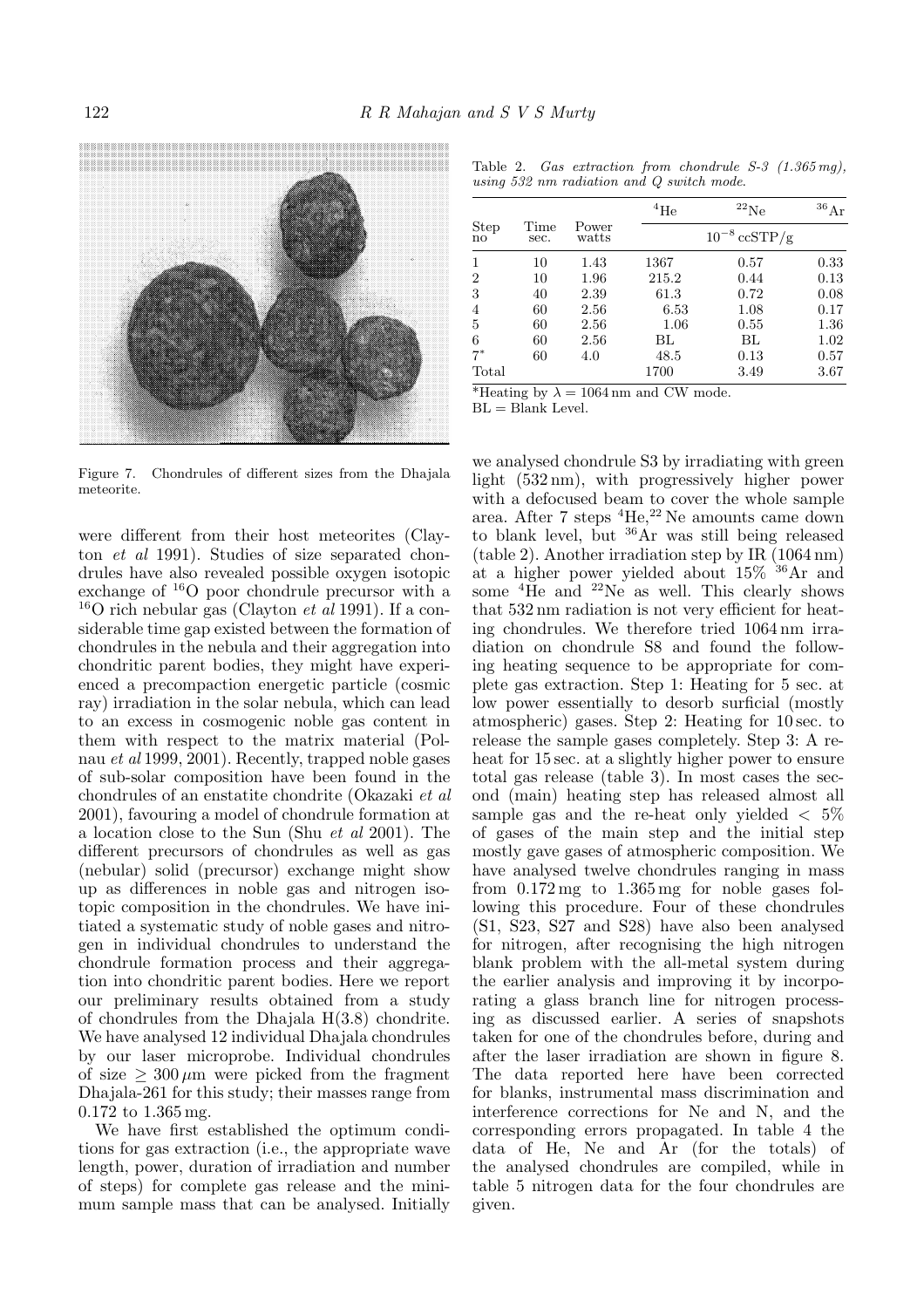

Figure 7. Chondrules of different sizes from the Dhajala meteorite.

were different from their host meteorites (Clayton et al 1991). Studies of size separated chondrules have also revealed possible oxygen isotopic exchange of <sup>16</sup>O poor chondrule precursor with a  $16$ O rich nebular gas (Clayton *et al* 1991). If a considerable time gap existed between the formation of chondrules in the nebula and their aggregation into chondritic parent bodies, they might have experienced a precompaction energetic particle (cosmic ray) irradiation in the solar nebula, which can lead to an excess in cosmogenic noble gas content in them with respect to the matrix material (Polnau et al 1999, 2001). Recently, trapped noble gases of sub-solar composition have been found in the chondrules of an enstatite chondrite (Okazaki et al 2001), favouring a model of chondrule formation at a location close to the Sun (Shu et al 2001). The different precursors of chondrules as well as gas (nebular) solid (precursor) exchange might show up as differences in noble gas and nitrogen isotopic composition in the chondrules. We have initiated a systematic study of noble gases and nitrogen in individual chondrules to understand the chondrule formation process and their aggregation into chondritic parent bodies. Here we report our preliminary results obtained from a study of chondrules from the Dhajala H(3.8) chondrite. We have analysed 12 individual Dhajala chondrules by our laser microprobe. Individual chondrules of size  $\geq 300 \,\mu m$  were picked from the fragment Dhajala-261 for this study; their masses range from 0.172 to 1.365 mg.

We have first established the optimum conditions for gas extraction (i.e., the appropriate wave length, power, duration of irradiation and number of steps) for complete gas release and the minimum sample mass that can be analysed. Initially

Table 2. Gas extraction from chondrule S-3 (1.365 mg), using 532 nm radiation and Q switch mode.

|                |              |                | $^{4}$ He | $^{22}$ Ne        | $^{36}\mathrm{Ar}$ |
|----------------|--------------|----------------|-----------|-------------------|--------------------|
| Step<br>no     | Time<br>sec. | Power<br>watts |           | $10^{-8}$ ccSTP/g |                    |
| 1              | 10           | 1.43           | 1367      | 0.57              | 0.33               |
| 2              | 10           | 1.96           | 215.2     | 0.44              | 0.13               |
| 3              | 40           | 2.39           | 61.3      | 0.72              | 0.08               |
| 4              | 60           | 2.56           | 6.53      | 1.08              | 0.17               |
| 5              | 60           | 2.56           | 1.06      | 0.55              | 1.36               |
| 6              | 60           | 2.56           | ΒL        | ВL                | 1.02               |
| $7^*$          | 60           | 4.0            | 48.5      | 0.13              | 0.57               |
| $\text{Total}$ |              |                | 1700      | 3.49              | 3.67               |

\*Heating by  $\lambda = 1064$  nm and CW mode.

 $BL = Blank Level.$ 

we analysed chondrule S3 by irradiating with green light (532 nm), with progressively higher power with a defocused beam to cover the whole sample area. After 7 steps <sup>4</sup>He,<sup>22</sup> Ne amounts came down to blank level, but  ${}^{36}Ar$  was still being released (table 2). Another irradiation step by IR (1064 nm) at a higher power yielded about 15% <sup>36</sup>Ar and some  ${}^{4}$ He and  ${}^{22}$ Ne as well. This clearly shows that 532 nm radiation is not very efficient for heating chondrules. We therefore tried 1064 nm irradiation on chondrule S8 and found the following heating sequence to be appropriate for complete gas extraction. Step 1: Heating for 5 sec. at low power essentially to desorb surficial (mostly atmospheric) gases. Step 2: Heating for 10 sec. to release the sample gases completely. Step 3: A reheat for 15 sec. at a slightly higher power to ensure total gas release (table 3). In most cases the second (main) heating step has released almost all sample gas and the re-heat only yielded  $\langle 5\%$ of gases of the main step and the initial step mostly gave gases of atmospheric composition. We have analysed twelve chondrules ranging in mass from 0.172 mg to 1.365 mg for noble gases following this procedure. Four of these chondrules (S1, S23, S27 and S28) have also been analysed for nitrogen, after recognising the high nitrogen blank problem with the all-metal system during the earlier analysis and improving it by incorporating a glass branch line for nitrogen processing as discussed earlier. A series of snapshots taken for one of the chondrules before, during and after the laser irradiation are shown in figure 8. The data reported here have been corrected for blanks, instrumental mass discrimination and interference corrections for Ne and N, and the corresponding errors propagated. In table 4 the data of He, Ne and Ar (for the totals) of the analysed chondrules are compiled, while in table 5 nitrogen data for the four chondrules are given.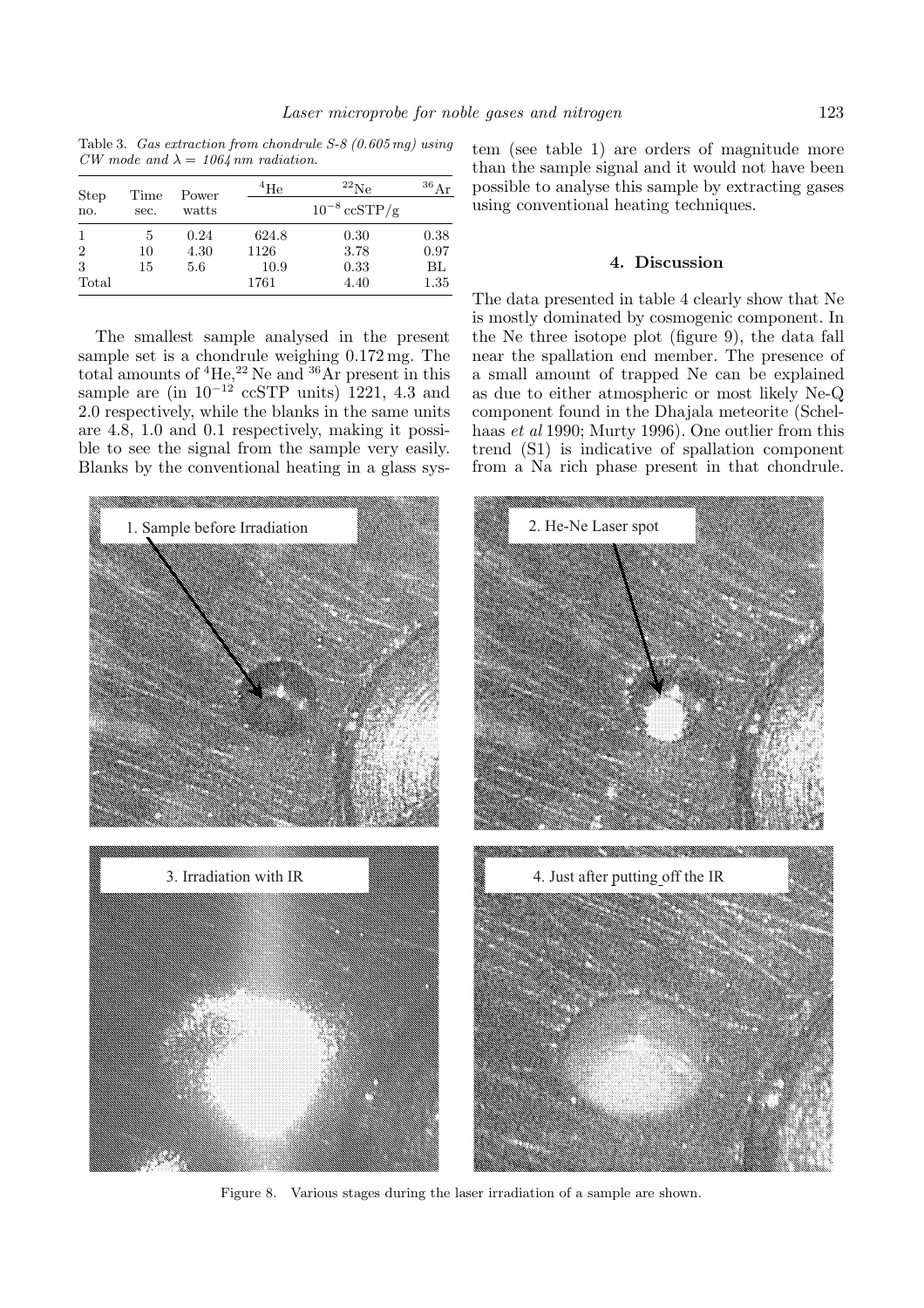Table 3. Gas extraction from chondrule S-8 (0.605 mg) using CW mode and  $\lambda = 1064$  nm radiation.

| <b>Step</b>    | Time | Power | $^{4}$ He | $^{22}Ne$         | $^{-36}\mathrm{Ar}$ |
|----------------|------|-------|-----------|-------------------|---------------------|
| no.            | sec. | watts |           | $10^{-8}$ ccSTP/g |                     |
| $\mathbf{1}$   | 5    | 0.24  | 624.8     | 0.30              | 0.38                |
| $\overline{2}$ | 10   | 4.30  | 1126      | 3.78              | 0.97                |
| 3              | 15   | 5.6   | 10.9      | 0.33              | BL                  |
| Total          |      |       | 1761      | 4.40              | 1.35                |

The smallest sample analysed in the present sample set is a chondrule weighing 0.172 mg. The total amounts of <sup>4</sup>He, <sup>22</sup> Ne and <sup>36</sup>Ar present in this sample are (in  $10^{-12}$  ccSTP units) 1221, 4.3 and 2.0 respectively, while the blanks in the same units are 4.8, 1.0 and 0.1 respectively, making it possible to see the signal from the sample very easily. Blanks by the conventional heating in a glass sys-



3. Irradiation with IR  $\frac{1}{2}$   $\frac{1}{2}$   $\frac{1}{2}$   $\frac{1}{2}$  4. Just after putting off the IR

tem (see table 1) are orders of magnitude more than the sample signal and it would not have been possible to analyse this sample by extracting gases using conventional heating techniques.

# **4. Discussion**

The data presented in table 4 clearly show that Ne is mostly dominated by cosmogenic component. In the Ne three isotope plot (figure 9), the data fall near the spallation end member. The presence of a small amount of trapped Ne can be explained as due to either atmospheric or most likely Ne-Q component found in the Dhajala meteorite (Schelhaas et al 1990; Murty 1996). One outlier from this trend (S1) is indicative of spallation component from a Na rich phase present in that chondrule.



Figure 8. Various stages during the laser irradiation of a sample are shown.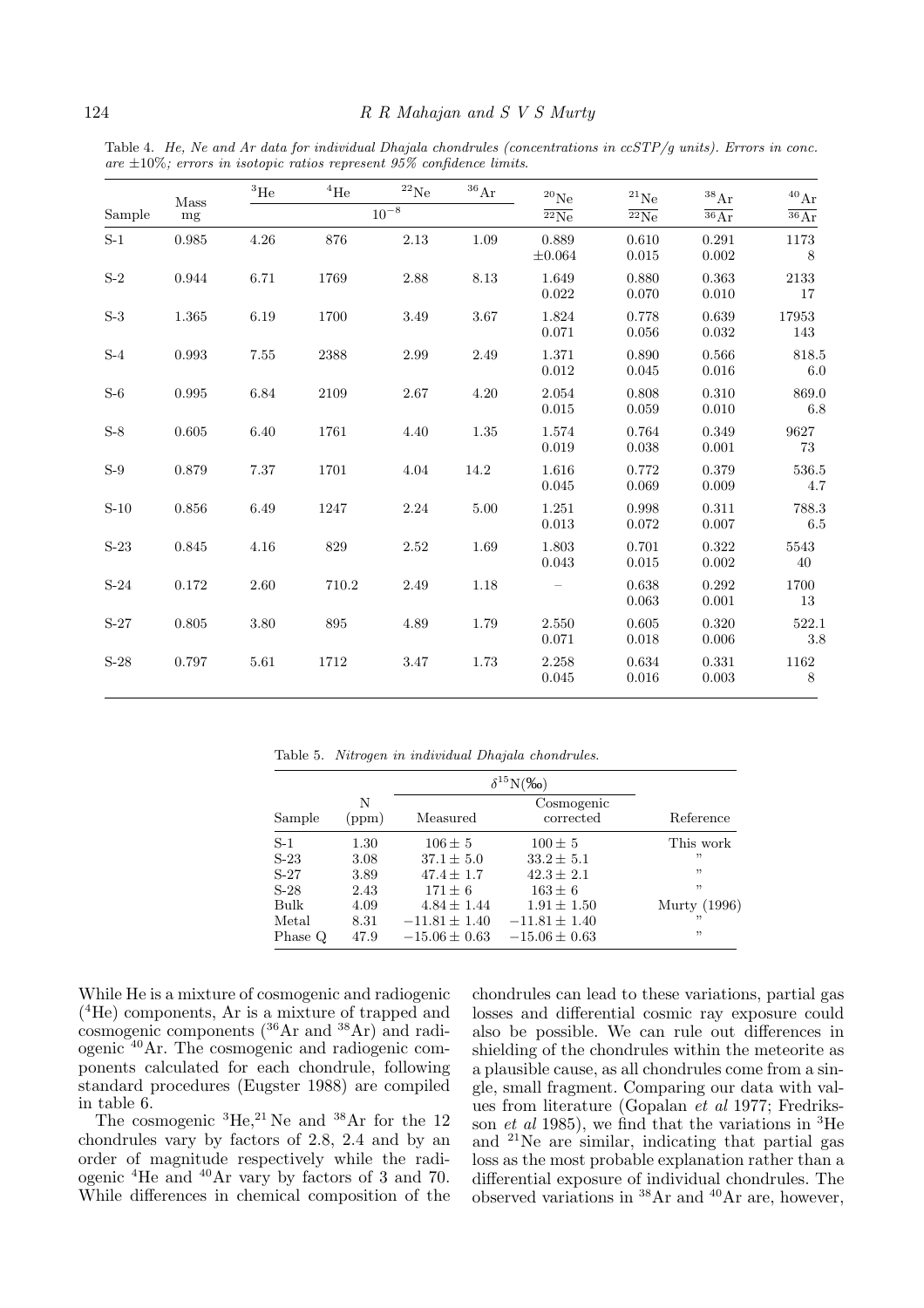| Mass         | $\rm{^{3}He}$ | $^{4}$ He | $^{22}{\rm Ne}$     | $^{36}\mathrm{Ar}$ | $^{20}{\rm Ne}$ | $^{21}$ Ne           | $^{38}\mathrm{Ar}$   | $^{40}\mathrm{Ar}$     |                               |
|--------------|---------------|-----------|---------------------|--------------------|-----------------|----------------------|----------------------|------------------------|-------------------------------|
| Sample       | mg            |           |                     | $10^{-8}$          |                 | $\overline{^{22}Ne}$ | $\overline{^{22}Ne}$ | $\frac{36}{\text{Ar}}$ | $\overline{{}^{36}\text{Ar}}$ |
| $S-1$        | 0.985         | 4.26      | 876                 | 2.13               | 1.09            | 0.889<br>$\pm 0.064$ | 0.610<br>0.015       | 0.291<br>0.002         | 1173<br>8                     |
| $\mbox{S-2}$ | 0.944         | 6.71      | 1769                | 2.88               | 8.13            | 1.649<br>0.022       | 0.880<br>0.070       | 0.363<br>0.010         | 2133<br>17                    |
| $S-3$        | 1.365         | 6.19      | 1700                | 3.49               | 3.67            | 1.824<br>0.071       | 0.778<br>0.056       | 0.639<br>0.032         | 17953<br>143                  |
| $S-4$        | 0.993         | 7.55      | $\boldsymbol{2388}$ | 2.99               | 2.49            | 1.371<br>0.012       | 0.890<br>0.045       | 0.566<br>0.016         | 818.5<br>6.0                  |
| $S-6$        | 0.995         | 6.84      | 2109                | 2.67               | 4.20            | 2.054<br>0.015       | 0.808<br>0.059       | 0.310<br>0.010         | 869.0<br>6.8                  |
| $S-8$        | 0.605         | 6.40      | 1761                | 4.40               | 1.35            | 1.574<br>0.019       | 0.764<br>0.038       | 0.349<br>0.001         | 9627<br>73                    |
| $S-9$        | 0.879         | 7.37      | 1701                | 4.04               | 14.2            | 1.616<br>0.045       | 0.772<br>0.069       | 0.379<br>0.009         | 536.5<br>4.7                  |
| $S-10$       | 0.856         | 6.49      | 1247                | 2.24               | 5.00            | 1.251<br>0.013       | 0.998<br>0.072       | 0.311<br>0.007         | 788.3<br>6.5                  |
| $S-23$       | 0.845         | 4.16      | 829                 | 2.52               | 1.69            | 1.803<br>0.043       | 0.701<br>0.015       | 0.322<br>0.002         | 5543<br>40                    |
| $S-24$       | 0.172         | 2.60      | 710.2               | 2.49               | 1.18            |                      | 0.638<br>0.063       | 0.292<br>0.001         | 1700<br>13                    |
| $S-27$       | 0.805         | 3.80      | 895                 | 4.89               | 1.79            | 2.550<br>0.071       | 0.605<br>0.018       | 0.320<br>0.006         | 522.1<br>3.8                  |
| $S-28$       | 0.797         | 5.61      | 1712                | 3.47               | 1.73            | 2.258<br>0.045       | 0.634<br>0.016       | 0.331<br>0.003         | 1162<br>8                     |

Table 4. He, Ne and Ar data for individual Dhajala chondrules (concentrations in  $ccSTP/q$  units). Errors in conc. are  $\pm 10\%$ ; errors in isotopic ratios represent 95% confidence limits.

Table 5. Nitrogen in individual Dhajala chondrules.

|         |            | $\delta^{15}N(\%0)$ |                         |              |
|---------|------------|---------------------|-------------------------|--------------|
| Sample  | N<br>(ppm) | Measured            | Cosmogenic<br>corrected | Reference    |
| $S-1$   | 1.30       | $106 \pm 5$         | $100 \pm 5$             | This work    |
| $S-23$  | 3.08       | $37.1 \pm 5.0$      | $33.2 \pm 5.1$          | "            |
| $S-27$  | 3.89       | $47.4 \pm 1.7$      | $42.3 \pm 2.1$          | "            |
| $S-28$  | 2.43       | $171 \pm 6$         | $163 \pm 6$             | "            |
| Bulk    | 4.09       | $4.84 \pm 1.44$     | $1.91 \pm 1.50$         | Murty (1996) |
| Metal   | 8.31       | $-11.81 \pm 1.40$   | $-11.81 \pm 1.40$       |              |
| Phase Q | 47.9       | $-15.06 \pm 0.63$   | $-15.06 \pm 0.63$       | "            |

While He is a mixture of cosmogenic and radiogenic (<sup>4</sup>He) components, Ar is a mixture of trapped and cosmogenic components (<sup>36</sup>Ar and <sup>38</sup>Ar) and radiogenic <sup>40</sup>Ar. The cosmogenic and radiogenic components calculated for each chondrule, following standard procedures (Eugster 1988) are compiled in table 6.

The cosmogenic  ${}^{3}\text{He}, {}^{21}\text{Ne}$  and  ${}^{38}\text{Ar}$  for the 12 chondrules vary by factors of 2.8, 2.4 and by an order of magnitude respectively while the radiogenic <sup>4</sup>He and <sup>40</sup>Ar vary by factors of 3 and 70. While differences in chemical composition of the chondrules can lead to these variations, partial gas losses and differential cosmic ray exposure could also be possible. We can rule out differences in shielding of the chondrules within the meteorite as a plausible cause, as all chondrules come from a single, small fragment. Comparing our data with values from literature (Gopalan et al 1977; Fredriksson *et al* 1985), we find that the variations in  ${}^{3}$ He and <sup>21</sup>Ne are similar, indicating that partial gas loss as the most probable explanation rather than a differential exposure of individual chondrules. The observed variations in <sup>38</sup>Ar and <sup>40</sup>Ar are, however,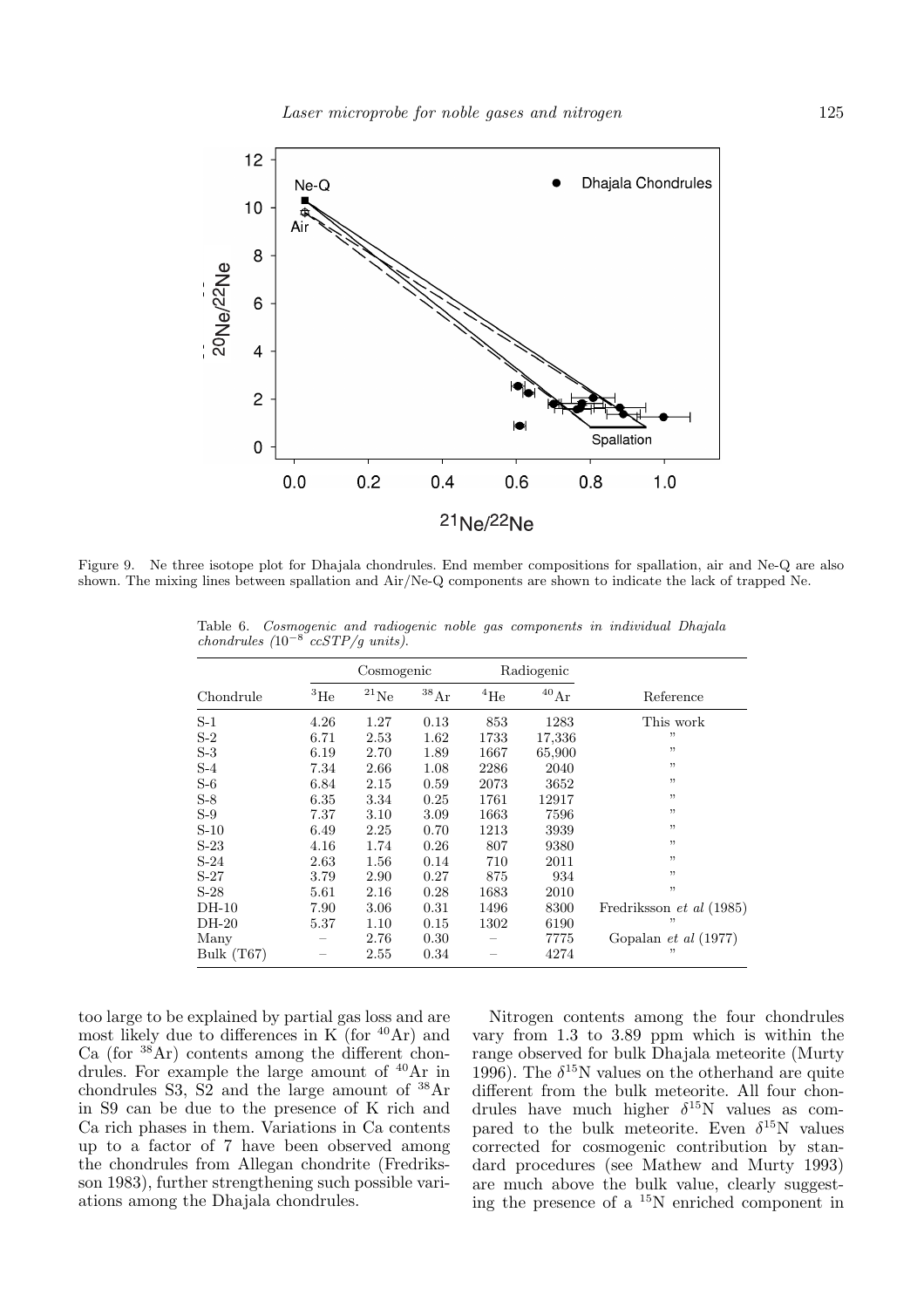

Figure 9. Ne three isotope plot for Dhajala chondrules. End member compositions for spallation, air and Ne-Q are also shown. The mixing lines between spallation and Air/Ne-Q components are shown to indicate the lack of trapped Ne.

|              |               | Cosmogenic    |                      |             | Radiogenic         |                          |  |
|--------------|---------------|---------------|----------------------|-------------|--------------------|--------------------------|--|
| Chondrule    | $\rm{^{3}He}$ | $\rm ^{21}Ne$ | ${}^{38}\mathrm{Ar}$ | ${}^{4}$ He | $^{40}\mathrm{Ar}$ | Reference                |  |
| $S-1$        | 4.26          | 1.27          | 0.13                 | 853         | 1283               | This work                |  |
| $S-2$        | 6.71          | 2.53          | 1.62                 | 1733        | 17,336             | ,,                       |  |
| $S-3$        | 6.19          | 2.70          | 1.89                 | 1667        | 65,900             | , ,                      |  |
| $S-4$        | 7.34          | 2.66          | 1.08                 | 2286        | 2040               | , ,                      |  |
| $S-6$        | 6.84          | 2.15          | 0.59                 | 2073        | 3652               | , ,                      |  |
| $S-8$        | 6.35          | 3.34          | 0.25                 | 1761        | 12917              | , ,                      |  |
| $S-9$        | 7.37          | 3.10          | 3.09                 | 1663        | 7596               | , ,                      |  |
| $S-10$       | 6.49          | 2.25          | 0.70                 | 1213        | 3939               | , ,                      |  |
| $S-23$       | 4.16          | 1.74          | 0.26                 | 807         | 9380               | , ,                      |  |
| $S-24$       | 2.63          | 1.56          | 0.14                 | 710         | 2011               | , ,                      |  |
| $S-27$       | 3.79          | 2.90          | 0.27                 | 875         | 934                | , ,                      |  |
| $S-28$       | 5.61          | 2.16          | 0.28                 | 1683        | 2010               | , ,                      |  |
| $DH-10$      | 7.90          | 3.06          | 0.31                 | 1496        | 8300               | Fredriksson et al (1985) |  |
| $DH-20$      | 5.37          | 1.10          | 0.15                 | 1302        | 6190               | , ,                      |  |
| Many         |               | 2.76          | 0.30                 |             | 7775               | Gopalan et al $(1977)$   |  |
| Bulk $(T67)$ |               | 2.55          | 0.34                 |             | 4274               | , ,                      |  |

Table 6. Cosmogenic and radiogenic noble gas components in individual Dhajala chondrules  $(10^{-8} \csc STP/g \text{ units}).$ 

too large to be explained by partial gas loss and are most likely due to differences in  $K$  (for  $40Ar$ ) and Ca (for  $38$ Ar) contents among the different chondrules. For example the large amount of <sup>40</sup>Ar in chondrules S3, S2 and the large amount of <sup>38</sup>Ar in S9 can be due to the presence of K rich and Ca rich phases in them. Variations in Ca contents up to a factor of 7 have been observed among the chondrules from Allegan chondrite (Fredriksson 1983), further strengthening such possible variations among the Dhajala chondrules.

Nitrogen contents among the four chondrules vary from 1.3 to 3.89 ppm which is within the range observed for bulk Dhajala meteorite (Murty 1996). The  $\delta^{15}$ N values on the otherhand are quite different from the bulk meteorite. All four chondrules have much higher  $\delta^{15}$ N values as compared to the bulk meteorite. Even  $\delta^{15}N$  values corrected for cosmogenic contribution by standard procedures (see Mathew and Murty 1993) are much above the bulk value, clearly suggesting the presence of a <sup>15</sup>N enriched component in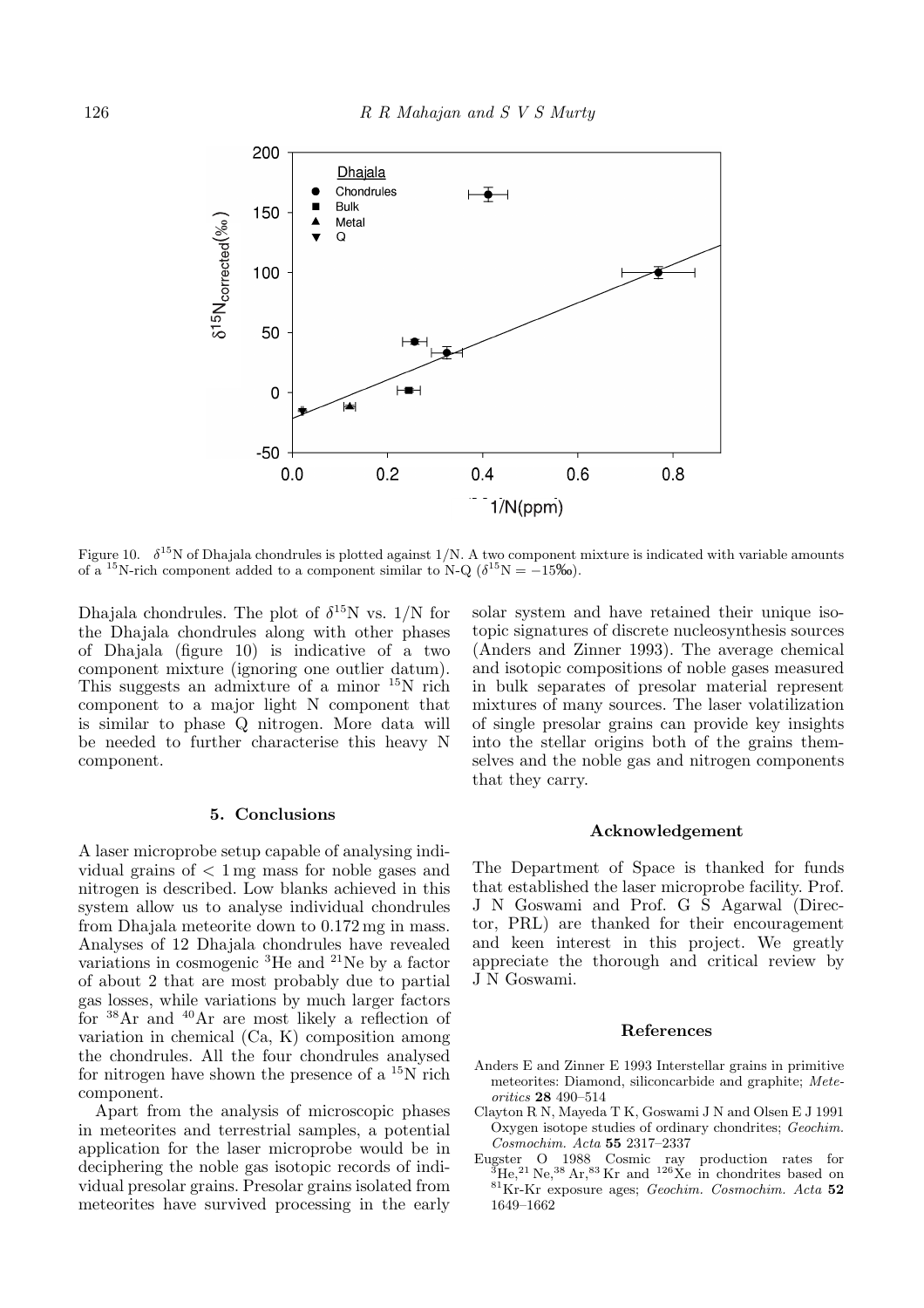

Figure 10.  $\delta^{15}$ N of Dhajala chondrules is plotted against  $1/N$ . A two component mixture is indicated with variable amounts of a <sup>15</sup>N-rich component added to a component similar to N-Q ( $\delta^{15}N = -15\%$ ).

Dhajala chondrules. The plot of  $\delta^{15}N$  vs. 1/N for the Dhajala chondrules along with other phases of Dhajala (figure 10) is indicative of a two component mixture (ignoring one outlier datum). This suggests an admixture of a minor <sup>15</sup>N rich component to a major light N component that is similar to phase Q nitrogen. More data will be needed to further characterise this heavy N component.

#### **5. Conclusions**

A laser microprobe setup capable of analysing individual grains of  $\langle$  1 mg mass for noble gases and nitrogen is described. Low blanks achieved in this system allow us to analyse individual chondrules from Dhajala meteorite down to 0.172 mg in mass. Analyses of 12 Dhajala chondrules have revealed variations in cosmogenic  ${}^{3}$ He and  ${}^{21}$ Ne by a factor of about 2 that are most probably due to partial gas losses, while variations by much larger factors for <sup>38</sup>Ar and <sup>40</sup>Ar are most likely a reflection of variation in chemical (Ca, K) composition among the chondrules. All the four chondrules analysed for nitrogen have shown the presence of a  $^{15}$ N rich component.

Apart from the analysis of microscopic phases in meteorites and terrestrial samples, a potential application for the laser microprobe would be in deciphering the noble gas isotopic records of individual presolar grains. Presolar grains isolated from meteorites have survived processing in the early solar system and have retained their unique isotopic signatures of discrete nucleosynthesis sources (Anders and Zinner 1993). The average chemical and isotopic compositions of noble gases measured in bulk separates of presolar material represent mixtures of many sources. The laser volatilization of single presolar grains can provide key insights into the stellar origins both of the grains themselves and the noble gas and nitrogen components that they carry.

#### **Acknowledgement**

The Department of Space is thanked for funds that established the laser microprobe facility. Prof. J N Goswami and Prof. G S Agarwal (Director, PRL) are thanked for their encouragement and keen interest in this project. We greatly appreciate the thorough and critical review by J N Goswami.

# **References**

- Anders E and Zinner E 1993 Interstellar grains in primitive meteorites: Diamond, siliconcarbide and graphite; Meteoritics **28** 490–514
- Clayton R N, Mayeda T K, Goswami J N and Olsen E J 1991 Oxygen isotope studies of ordinary chondrites; Geochim. Cosmochim. Acta **55** 2317–2337
- Eugster O 1988 Cosmic ray production rates for  ${}^{3}He, {}^{21}Ne, {}^{38}Ar, {}^{83}Kr$  and  ${}^{126}Xe$  in chondrites based on <sup>81</sup>Kr-Kr exposure ages; Geochim. Cosmochim. Acta 52 1649–1662